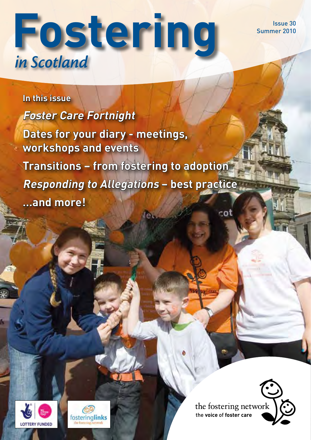Issue 30 Summer 2010

# **Fostering** *in Scotland*

# **In this issue Foster Care Fortnight Dates for your diary - meetings, workshops and events Transitions – from fostering to adoption Responding to Allegations – best practice …and more!** $cot$





the fostering network the **voice** of **foster care**

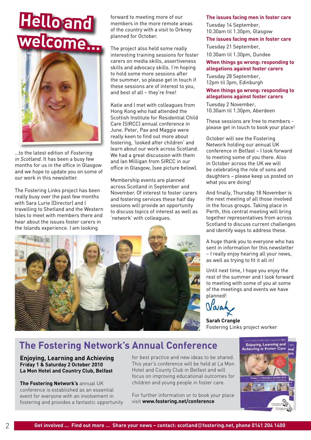# **Hello and welcome...**



…to the latest edition of Fostering in Scotland. It has been a busy few months for us in the office in Glasgow and we hope to update you on some of our work in this newsletter.

The Fostering Links project has been really busy over the past few months with Sara Lurie (Director) and I travelling to Shetland and the Western Isles to meet with members there and hear about the issues foster carers in the Islands experience. I am looking

forward to meeting more of our members in the more remote areas of the country with a visit to Orkney planned for October.

The project also held some really interesting training sessions for foster carers on media skills, assertiveness skills and advocacy skills. I'm hoping to hold some more sessions after the summer, so please get in touch if these sessions are of interest to you, and best of all – they're free!

Katie and I met with colleagues from Hong Kong who had attended the Scottish Institute for Residential Child Care (SIRCC) annual conference in June. Peter, Pax and Maggie were really keen to find out more about fostering, 'looked after children' and learn about our work across Scotland. We had a great discussion with them and Ian Milligan from SIRCC in our office in Glasgow, (see picture below).

Membership events are planned across Scotland in September and November. Of interest to foster carers and fostering services these half day sessions will provide an opportunity to discuss topics of interest as well as 'network' with colleagues.



#### **The issues facing men in foster care**

Tuesday 14 September, 10.30am til 1.30pm, Glasgow

#### **The issues facing men in foster care**

Tuesday 21 September, 10.30am til 1.30pm, Dundee

#### **When things go wrong: responding to allegations against foster carers**

Tuesday 28 September, 12pm til 3pm, Edinburgh

#### **When things go wrong: responding to allegations against foster carers**

Tuesday 2 November, 10.30am til 1.30pm, Aberdeen

These sessions are free to members please get in touch to book your place!

October will see the Fostering Network holding our annual UK conference in Belfast – I look forward to meeting some of you there. Also in October across the UK we will be celebrating the role of sons and daughters – please keep us posted on what you are doing!

And finally, Thursday 18 November is the next meeting of all those involved in the focus groups. Taking place in Perth, this central meeting will bring together representatives from across Scotland to discuss current challenges and identify ways to address these.

A huge thank you to everyone who has sent in information for this newsletter – I really enjoy hearing all your news, as well as trying to fit it all in!

Until next time, I hope you enjoy the rest of the summer and I look forward to meeting with some of you at some of the meetings and events we have planned!

**Sarah Crangle** Fostering Links project worker

## **The Fostering Network's Annual Conference**

**Enjoying, Learning and Achieving Friday 1 & Saturday 2 October 2010 La Mon Hotel and Country Club, Belfast**

**The Fostering Network's** annual UK conference is established as an essential event for everyone with an involvement in fostering and provides a fantastic opportunity

for best practice and new ideas to be shared. This year's conference will be held at La Mon Hotel and County Club in Belfast and will focus on improving educational outcomes for children and young people in foster care.

For further information or to book your place visit **www.fostering.net/conference**

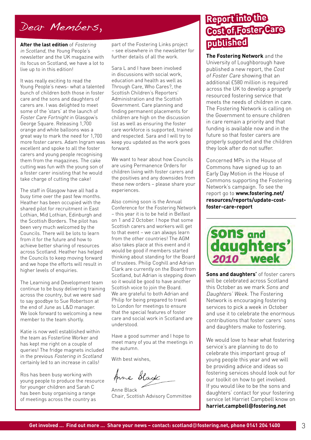## Dear Members,

**After the last edition** of Fostering in Scotland, the Young People's newsletter and the UK magazine with its focus on Scotland, we have a lot to live up to in this edition!

It was really exciting to read the Young People's news- what a talented bunch of children both those in foster care and the sons and daughters of carers are. I was delighted to meet some of the 'stars' at the launch of Foster Care Fortnight in Glasgow's George Square. Releasing 1,700 orange and white balloons was a great way to mark the need for 1,700 more foster carers. Adam Ingram was excellent and spoke to all the foster carers and young people recognising them from the magazines. The cake cutting was fun with the young son of a foster carer insisting that he would take charge of cutting the cake!

The staff in Glasgow have all had a busy time over the past few months. Heather has been occupied with the shared pilot for recruitment in East Lothian, Mid Lothian, Edinburgh and the Scottish Borders. The pilot has been very much welcomed by the Councils. There will be lots to learn from it for the future and how to achieve better sharing of resources across Scotland. Heather has helped the Councils to keep moving forward and we hope the efforts will result in higher levels of enquiries.

The Learning and Development team continue to be busy delivering training across the country, but we were sad to say goodbye to Sue Robertson at the end of June as L&D manager. We look forward to welcoming a new member to the team shortly.

Katie is now well established within the team as Fosterline Worker and has kept me right on a couple of queries! The fridge magnets included in the previous Fostering in Scotland certainly led to an increase in calls!

Ros has been busy working with young people to produce the resource for younger children and Sarah C has been busy organising a range of meetings across the country as

part of the Fostering Links project – see elsewhere in the newsletter for further details of all the work.

Sara L and I have been involved in discussions with social work, education and health as well as Through Care, Who Cares?, the Scottish Children's Reporters' Administration and the Scottish Government. Care planning and finding permanent placements for children are high on the discussion list as well as ensuring the foster care workforce is supported, trained and respected. Sara and I will try to keep you updated as the work goes forward.

We want to hear about how Councils are using Permanence Orders for children living with foster carers and the positives and any downsides from these new orders – please share your experiences.

Also coming soon is the Annual Conference for the Fostering Network – this year it is to be held in Belfast on 1 and 2 October. I hope that some Scottish carers and workers will get to that event – we can always learn from the other countries! The AGM also takes place at this event and it would be good if members started thinking about standing for the Board of trustees. Philip Coghill and Adrian Clark are currently on the Board from Scotland, but Adrian is stepping down so it would be good to have another Scottish voice to join the Board. We are grateful to both Adrian and Philip for being prepared to travel to London for meetings to ensure that the special features of foster care and social work in Scotland are understood.

Have a good summer and I hope to meet many of you at the meetings in the autumn.

With best wishes,

Anne Black

Anne Black Chair, Scottish Advisory Committee

## **Report into the Cost of Foster Care published**

**The Fostering Network** and the University of Loughborough have published a new report, the Cost of Foster Care showing that an additional £580 million is required across the UK to develop a properly resourced fostering service that meets the needs of children in care. The Fostering Network is calling on the Government to ensure children in care remain a priority and that funding is available now and in the future so that foster carers are properly supported and the children they look after do not suffer.

Concerned MPs in the House of Commons have signed up to an Early Day Motion in the House of Commons supporting the Fostering Network's campaign. To see the report go to **www.fostering.net/ resources/reports/update-costfoster-care-report**



**Sons and daughters'** of foster carers will be celebrated across Scotland this October as we mark Sons and Daughters' Week. The Fostering Network is encouraging fostering services to pick a week in October and use it to celebrate the enormous contributions that foster carers' sons and daughters make to fostering.

We would love to hear what fostering service's are planning to do to celebrate this important group of young people this year and we will be providing advice and ideas so fostering services should look out for our toolkit on how to get involved. If you would like to be the sons and daughters' contact for your fostering service let Harriet Campbell know on **harriet.campbell@fostering.net**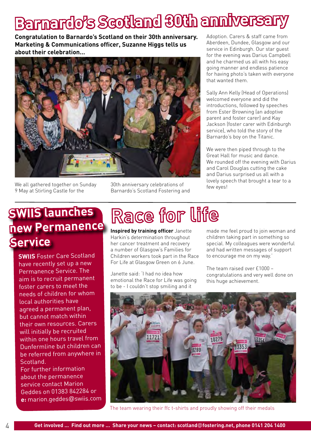# **Barnardo's Scotland 30th anniversary**

**Congratulation to Barnardo's Scotland on their 30th anniversary. Marketing & Communications officer, Suzanne Higgs tells us about their celebration…**



We all gathered together on Sunday 9 May at Stirling Castle for the

30th anniversary celebrations of Barnardo's Scotland Fostering and Adoption. Carers & staff came from Aberdeen, Dundee, Glasgow and our service in Edinburgh. Our star guest for the evening was Darius Campbell and he charmed us all with his easy going manner and endless patience for having photo's taken with everyone that wanted them.

Sally Ann Kelly (Head of Operations) welcomed everyone and did the introductions, followed by speeches from Ester Browning (an adoptive parent and foster carer) and Kay Jackson (foster carer with Edinburgh service), who told the story of the Barnardo's boy on the Titanic.

We were then piped through to the Great Hall for music and dance. We rounded off the evening with Darius and Carol Douglas cutting the cake and Darius surprised us all with a lovely speech that brought a tear to a few eyes!

# **SWIIS launches new Permanence Service**

**SWIIS** Foster Care Scotland have recently set up a new Permanence Service. The aim is to recruit permanent foster carers to meet the needs of children for whom local authorities have agreed a permanent plan, but cannot match within their own resources. Carers will initially be recruited within one hours travel from Dunfermline but children can be referred from anywhere in Scotland. For further information

about the permanence service contact Marion Geddes on 01383 842284 or **e:** marion.geddes@swiis.com

# Race for life

**Inspired by training officer** Janette Harkin's determination throughout her cancer treatment and recovery a number of Glasgow's Families for Children workers took part in the Race For Life at Glasgow Green on 6 June.

Janette said: 'I had no idea how emotional the Race for Life was going to be - I couldn't stop smiling and it

made me feel proud to join woman and children taking part in something so special. My colleagues were wonderful and had written messages of support to encourage me on my way.'

The team raised over £1000 – congratulations and very well done on this huge achievement.



The team wearing their ffc t-shirts and proudly showing off their medals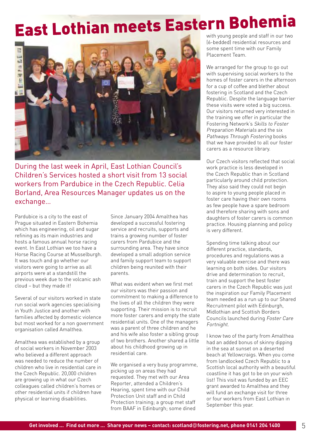# East Lothian meets Eastern Bohemia



During the last week in April, East Lothian Council's Children's Services hosted a short visit from 13 social workers from Pardubice in the Czech Republic. Celia Borland, Area Resources Manager updates us on the exchange…

Pardubice is a city to the east of Prague situated in Eastern Bohemia which has engineering, oil and sugar refining as its main industries and hosts a famous annual horse racing event. In East Lothian we too have a Horse Racing Course at Musselburgh. It was touch and go whether our visitors were going to arrive as all airports were at a standstill the previous week due to the volcanic ash cloud – but they made it!

Several of our visitors worked in state run social work agencies specialising in Youth Justice and another with families affected by domestic violence but most worked for a non government organisation called Amalthea.

Amalthea was established by a group of social workers in November 2003 who believed a different approach was needed to reduce the number of children who live in residential care in the Czech Republic. 20,000 children are growing up in what our Czech colleagues called children's homes or other residential units if children have physical or learning disabilities.

Since January 2004 Amalthea has developed a successful fostering service and recruits, supports and trains a growing number of foster carers from Pardubice and the surrounding area. They have since developed a small adoption service and family support team to support children being reunited with their parents.

What was evident when we first met our visitors was their passion and commitment to making a difference to the lives of all the children they were supporting. Their mission is to recruit more foster carers and empty the state residential units. One of the managers was a parent of three children and he and his wife also foster a sibling group of two brothers. Another shared a little about his childhood growing up in residential care.

We organised a very busy programme, picking up on areas they had requested. They met with our Area Reporter, attended a Children's Hearing, spent time with our Child Protection Unit staff and in Child Protection training; a group met staff from BAAF in Edinburgh; some dined

(6-bedded) residential resources and some spent time with our Family Placement Team.

We arranged for the group to go out with supervising social workers to the homes of foster carers in the afternoon for a cup of coffee and blether about fostering in Scotland and the Czech Republic. Despite the language barrier these visits were voted a big success. Our visitors returned very interested in the training we offer in particular the Fostering Network's Skills to Foster Preparation Materials and the six Pathways Through Fostering books that we have provided to all our foster carers as a resource library.

Our Czech visitors reflected that social work practice is less developed in the Czech Republic than in Scotland particularly around child protection. They also said they could not begin to aspire to young people placed in foster care having their own rooms as few people have a spare bedroom and therefore sharing with sons and daughters of foster carers is common practice. Housing planning and policy is very different.

Spending time talking about our different practice, standards, procedures and regulations was a very valuable exercise and there was learning on both sides. Our visitors drive and determination to recruit, train and support the best foster carers in the Czech Republic was just the inspiration our Family Placement team needed as a run up to our Shared Recruitment pilot with Edinburgh, Midlothian and Scottish Borders Councils launched during Foster Care Fortnight.

I know two of the party from Amalthea had an added bonus of skinny dipping in the sea at sunset on a deserted beach at Yellowcraigs. When you come from landlocked Czech Republic to a Scottish local authority with a beautiful coastline it has got to be on your wish list! This visit was funded by an EEC grant awarded to Amalthea and they will fund an exchange visit for three or four workers from East Lothian in September this year.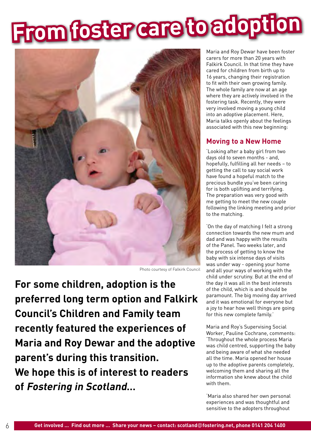# **From foster care to adoption**



Photo courtesy of Falkirk Council

**For some children, adoption is the preferred long term option and Falkirk Council's Children and Family team recently featured the experiences of Maria and Roy Dewar and the adoptive parent's during this transition. We hope this is of interest to readers of Fostering in Scotland…**

Maria and Roy Dewar have been foster carers for more than 20 years with Falkirk Council. In that time they have cared for children from birth up to 16 years, changing their registration to fit with their own growing family. The whole family are now at an age where they are actively involved in the fostering task. Recently, they were very involved moving a young child into an adoptive placement. Here, Maria talks openly about the feelings associated with this new beginning:

#### **Moving to a New Home**

'Looking after a baby girl from two days old to seven months - and, hopefully, fulfilling all her needs – to getting the call to say social work have found a hopeful match to the precious bundle you've been caring for is both uplifting and terrifying. The preparation was very good with me getting to meet the new couple following the linking meeting and prior to the matching.

'On the day of matching I felt a strong connection towards the new mum and dad and was happy with the results of the Panel. Two weeks later, and the process of getting to know the baby with six intense days of visits was under way - opening your home and all your ways of working with the child under scrutiny. But at the end of the day it was all in the best interests of the child, which is and should be paramount. The big moving day arrived and it was emotional for everyone but a joy to hear how well things are going for this new complete family.'

Maria and Roy's Supervising Social Worker, Pauline Cochrane, comments: 'Throughout the whole process Maria was child centred, supporting the baby and being aware of what she needed all the time. Maria opened her house up to the adoptive parents completely, welcoming them and sharing all the information she knew about the child with them.

'Maria also shared her own personal experiences and was thoughtful and sensitive to the adopters throughout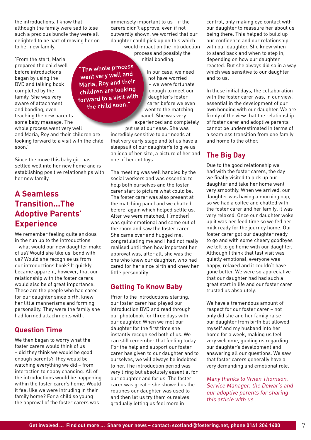the introductions. I know that although the family were sad to lose such a precious bundle they were all delighted to be part of moving her on to her new family.

'From the start, Maria prepared the child well before introductions began by using the DVD and talking book completed by the family. She was very aware of attachment and bonding, even teaching the new parents some baby massage. The whole process went very well and Maria, Roy and their children are looking forward to a visit with the child soon.'

Since the move this baby girl has settled well into her new home and is establishing positive relationships with her new family.

### **A Seamless Transition…The Adoptive Parents' Experience**

We remember feeling quite anxious in the run up to the introductions – what would our new daughter make of us? Would she like us, bond with us? Would she recognise us from our introductions book? It quickly became apparent, however, that our relationship with the foster carers would also be of great importance. These are the people who had cared for our daughter since birth, knew her little mannerisms and forming personality. They were the family she had formed attachments with.

### **Question Time**

We then began to worry what the foster carers would think of us – did they think we would be good enough parents? They would be watching everything we did – from interaction to nappy changing. All of the introductions would be happening within the foster carer's home. Would it feel like we were intruding in their family home? For a child so young the approval of the foster carers was

immensely important to us – if the carers didn't approve, even if not outwardly shown, we worried that our daughter could pick up on this which would impact on the introduction

process and possibly the initial bonding.

The whole process In our case, we need went very well and not have worried Maria, Roy and their – we were fortunate children are looking enough to meet our forward to a visit with the child soon."

daughter's foster carer before we even went to the matching panel. She was very experienced and completely

put us at our ease. She was incredibly sensitive to our needs at that very early stage and let us have a sleepsuit of our daughter's to give us an idea of her size, a picture of her and one of her cot toys.

The meeting was well handled by the social workers and was essential to help both ourselves and the foster carer start to picture what could be. The foster carer was also present at the matching panel and we chatted before, again which helped settle us. After we were matched, I (mother) was quite emotional and came out of the room and saw the foster carer. She came over and hugged me, congratulating me and I had not really realised until then how important her approval was, after all, she was the one who knew our daughter, who had cared for her since birth and knew her little personality.

### **Getting To Know Baby**

Prior to the introductions starting, our foster carer had played our introduction DVD and read through our photobook for three days with our daughter. When we met our daughter for the first time she instantly recognised both of us. We can still remember that feeling today. For the help and support our foster carer has given to our daughter and to ourselves, we will always be indebted to her. The introduction period was very tiring but absolutely essential for our daughter and for us. The foster carer was great – she showed us the routines our daughter was used to and then let us try them ourselves, gradually letting us feel more in

control, only making eye contact with our daughter to reassure her about us being there. This helped to build up our confidence and our relationship with our daughter. She knew when to stand back and when to step in, depending on how our daughter reacted. But she always did so in a way which was sensitive to our daughter and to us.

In those initial days, the collaboration with the foster carer was, in our view, essential in the development of our own bonding with our daughter. We are firmly of the view that the relationship of foster carer and adoptive parents cannot be underestimated in terms of a seamless transition from one family and home to the other.

### **The Big Day**

Due to the good relationship we had with the foster carers, the day we finally visited to pick up our daughter and take her home went very smoothly. When we arrived, our daughter was having a morning nap, so we had a coffee and chatted with the foster carer and her family, it was very relaxed. Once our daughter woke up it was her feed time so we fed her milk ready for the journey home. Our foster carer got our daughter ready to go and with some cheery goodbyes we left to go home with our daughter. Although I think that last visit was quietly emotional, everyone was happy, relaxed and it couldn't have gone better. We were so appreciative that our daughter had had such a great start in life and our foster carer trusted us absolutely.

We have a tremendous amount of respect for our foster carer – not only did she and her family raise our daughter from birth but allowed myself and my husband into her home for a week, making us feel very welcome, guiding us regarding our daughter's development and answering all our questions. We saw that foster carers generally have a very demanding and emotional role.

Many thanks to Vivien Thomson, Service Manager, the Dewar's and our adoptive parents for sharing this article with us.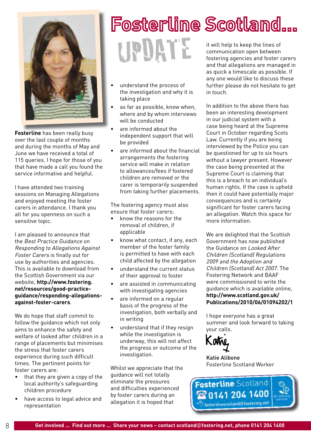

**Fosterline** has been really busy over the last couple of months and during the months of May and June we have received a total of 115 queries. I hope for those of you that have made a call you found the service informative and helpful.

I have attended two training sessions on Managing Allegations and enjoyed meeting the foster carers in attendance. I thank you all for you openness on such a sensitive topic.

I am pleased to announce that the Best Practice Guidance on Responding to Allegations Against Foster Carers is finally out for use by authorities and agencies. This is available to download from the Scottish Government via our website, **http://www.fostering. net/resources/good-practiceguidance/responding-allegationsagainst-foster-carers**.

We do hope that staff commit to follow the guidance which not only aims to enhance the safety and welfare of looked after children in a range of placements but minimises the stress that foster carers experience during such difficult times. The pertinent points for foster carers are:

- that they are given a copy of the local authority's safeguarding children procedure
- have access to legal advice and representation

### **Fosterline Scotland...** update it will help to keep the lines of communication open between fostering agencies and foster carers and that allegations are managed in

- understand the process of the investigation and why it is taking place
- as far as possible, know when, where and by whom interviews will be conducted
- are informed about the independent support that will be provided
- are informed about the financial arrangements the fostering service will make in relation to allowances/fees if fostered children are removed or the carer is temporarily suspended from taking further placements.

The fostering agency must also ensure that foster carers:

- know the reasons for the removal of children, if applicable
- know what contact, if any, each member of the foster family is permitted to have with each child affected by the allegation
- understand the current status of their approval to foster
- are assisted in communicating with investigating agencies
- are informed on a regular basis of the progress of the investigation, both verbally and in writing
- understand that if they resign while the investigation is underway, this will not affect the progress or outcome of the investigation.

Whilst we appreciate that the guidance will not totally eliminate the pressures and difficulties experienced by foster carers during an allegation it is hoped that

as quick a timescale as possible. If any one would like to discuss these further please do not hesitate to get in touch.

In addition to the above there has been an interesting development in our judicial system with a case being heard at the Supreme Court in October regarding Scots Law. Currently if you are being interviewed by the Police you can be questioned for up to six hours without a lawyer present. However the case being presented at the Supreme Court is claiming that this is a breach to an individual's human rights. If the case is upheld then it could have potentially major consequences and is certainly significant for foster carers facing an allegation. Watch this space for more information.

We are delighted that the Scottish Government has now published the Guidance on Looked After Children (Scotland) Regulations 2009 and the Adoption and Children (Scotland) Act 2007. The Fostering Network and BAAF were commissioned to write the guidance which is available online, **http://www.scotland.gov.uk/ Publications/2010/06/01094202/1** 

I hope everyone has a great summer and look forward to taking your calls.



Katie Alibone Fosterline Scotland Worker

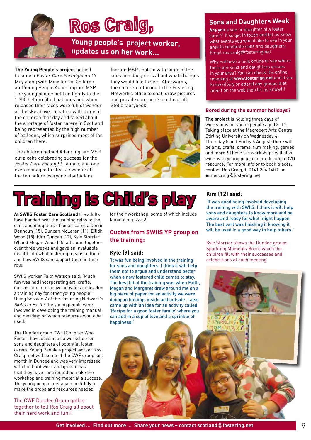

# **Ros Craig,**

**Young people's project worker, updates us on her work...**

#### **The Young People's project** helped

to launch Foster Care Fortnight on 17 May along with Minister for Children and Young People Adam Ingram MSP. The young people held on tightly to the 1,700 helium filled balloons and when released their faces were full of wonder at the sky above. I chatted with some of the children that day and talked about the shortage of foster carers in Scotland being represented by the high number of balloons, which surprised most of the children there.

The children helped Adam Ingram MSP cut a cake celebrating success for the Foster Care Fortnight launch, and one even managed to steal a sweetie off the top before everyone else! Adam

Ingram MSP chatted with some of the sons and daughters about what changes they would like to see. Afterwards, the children returned to the Fostering Network's office to chat, draw pictures and provide comments on the draft Stella storybook.



#### **Sons and Daughters Week**

**Are you** a son or daughter of a foster carer? If so get in touch and let us know what events you would like to see in your area to celebrate sons and daughters. Email ros.craig@fostering.net

Why not have a look online to see where there are sons and daughters groups in your area? You can check the online mapping at **www.fostering.net** and if you know of any or attend any groups that aren't on the web then let us know!!!

#### **Bored during the summer holidays?**

**The project** is holding three days of workshops for young people aged 8–11. Taking place at the Macrobert Arts Centre, Stirling University on Wednesday 4, Thursday 5 and Friday 6 August, there will be arts, crafts, drama, film making, games and more!! These fun workshops will also work with young people in producing a DVD resource. For more info or to book places, contact Ros Craig, **t:** 0141 204 1400 or **e:** ros.craig@fostering.net



**At SWIIS Foster Care Scotland** the adults have handed over the training reins to the sons and daughters of foster carers. Corrie Denholm (15), Duncan McLaren (11), Eilidh Wood (15), Kim Duncan (12), Kyle Storrier (9) and Megan Wood (15) all came together over three weeks and gave an invaluable insight into what fostering means to them and how SWIIS can support them in their role.

SWIIS worker Faith Watson said: 'Much fun was had incorporating art, crafts, quizzes and interactive activities to develop a training day for other young people.' Using Session 7 of the Fostering Network's Skills to Foster the young people were involved in developing the training manual and deciding on which resources would be used.

The Dundee group CWF (Children Who Foster) have developed a workshop for sons and daughters of potential foster carers. Young People's project worker Ros Craig met with some of the CWF group last month in Dundee and was very impressed with the hard work and great ideas that they have contributed to make the workshop and training material a success. The young people met again on 5 July to make the props and resources needed

The CWF Dundee Group gather together to tell Ros Craig all about their hard work and fun!!

for their workshop, some of which include laminated pizzas!

#### **Quotes from SWIIS YP group on the training:**

#### **Kyle (9) said:**

'It was fun being involved in the training for sons and daughters. I think it will help them not to argue and understand better when a new fostered child comes to stay. The best bit of the training was when Faith, Megan and Margaret drew around me on a big piece of paper for an activity we were doing on feelings inside and outside. I also came up with an idea for an activity called 'Recipe for a good foster family' where you can add in a cup of love and a sprinkle of happiness!'

#### **Kim (12) said:**

'It was good being involved developing the training with SWIIS. I think it will help sons and daughters to know more and be aware and ready for what might happen. The best part was finishing it knowing it will be used in a good way to help others.'

Kyle Storrier shows the Dundee groups Sparkling Moments Board which the children fill with their successes and celebrations at each meeting'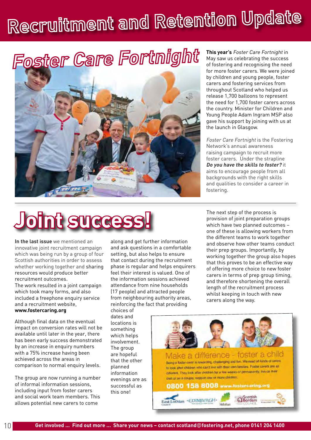# Recruitment and Retention Update

# Foster Care Fortnight



**This year's** Foster Care Fortnight in May saw us celebrating the success of fostering and recognising the need for more foster carers. We were joined by children and young people, foster carers and fostering services from throughout Scotland who helped us release 1,700 balloons to represent the need for 1,700 foster carers across the country. Minister for Children and Young People Adam Ingram MSP also gave his support by joining with us at the launch in Glasgow.

Foster Care Fortnight is the Fostering Network's annual awareness raising campaign to recruit more foster carers. Under the strapline **Do you have the skills to foster?** it aims to encourage people from all backgrounds with the right skills and qualities to consider a career in fostering.

# **Joint success!**

**In the last issue** we mentioned an innovative joint recruitment campaign which was being run by a group of four Scottish authorities in order to assess whether working together and sharing resources would produce better recruitment outcomes. The work resulted in a joint campaign which took many forms, and also included a freephone enquiry service and a recruitment website, **www.fostercaring.org**

Although final data on the eventual impact on conversion rates will not be available until later in the year, there has been early success demonstrated by an increase in enquiry numbers with a 75% increase having been achieved across the areas in comparison to normal enquiry levels.

The group are now running a number of informal information sessions, including input from foster carers and social work team members. This allows potential new carers to come

along and get further information and ask questions in a comfortable setting, but also helps to ensure that contact during the recruitment phase is regular and helps enquirers feel their interest is valued. One of the information sessions achieved attendance from nine households (17 people) and attracted people from neighbouring authority areas, reinforcing the fact that providing

choices of dates and locations is something which helps involvement. The group are hopeful that the other planned information evenings are as successful as this one!

The next step of the process is provision of joint preparation groups which have two planned outcomes – one of these is allowing workers from the different teams to work together and observe how other teams conduct their prep groups. Importantly, by working together the group also hopes that this proves to be an effective way of offering more choice to new foster carers in terms of prep group timing, and therefore shortening the overall length of the recruitment process whilst keeping in touch with new carers along the way.

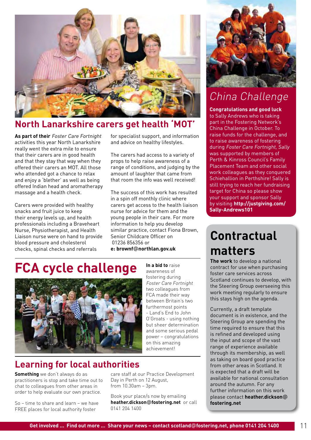

## **North Lanarkshire carers get health 'MOT'**

**As part of their** Foster Care Fortnight activities this year North Lanarkshire really went the extra mile to ensure that their carers are in good health and that they stay that way when they offered their carers an MOT. All those who attended got a chance to relax and enjoy a 'blether' as well as being offered Indian head and aromatherapy massage and a health check.

Carers were provided with healthy snacks and fruit juice to keep their energy levels up, and health professionals including a Braveheart Nurse, Physiotherapist, and Health Liaison nurse were on hand to provide blood pressure and cholesterol checks, spinal checks and referrals

for specialist support, and information and advice on healthy lifestyles.

The carers had access to a variety of props to help raise awareness of a range of conditions, and judging by the amount of laughter that came from that room the info was well received!

The success of this work has resulted in a spin off monthly clinic where carers get access to the health liaison nurse for advice for them and the young people in their care. For more information to help you develop similar practice, contact Fiona Brown, Senior Childcare Officer on 01236 856356 or **e: brownf**@**northlan.gov.uk**

**In a bid to** raise

# **FCA cycle challenge**



## **Learning for local authorities**

**Something** we don't always do as practitioners is stop and take time out to chat to colleagues from other areas in order to help evaluate our own practice.

So – time to share and learn – we have FREE places for local authority foster

awareness of fostering during Foster Care Fortnight two colleagues from FCA made their way between Britain's two furthermost points - Land's End to John O'Groats - using nothing but sheer determination and some serious pedal power – congratulations on this amazing achievement!



## China Challenge

**Congratulations and good luck** to Sally Andrews who is taking part in the Fostering Network's China Challenge in October. To raise funds for the challenge, and to raise awareness of fostering during Foster Care Fortnight, Sally was supported by members of Perth & Kinross Council's Family Placement Team and other social work colleagues as they conquered Schiehallion in Perthshire! Sally is still trying to reach her fundraising target for China so please show your support and sponsor Sally by visiting **http://justgiving.com/ Sally-Andrews101**

## **Contractual matters**

**The work** to develop a national contract for use when purchasing foster care services across Scotland continues to develop, with the Steering Group overseeing this work meeting regularly to ensure this stays high on the agenda.

Currently, a draft template document is in existence, and the Steering Group are spending the time required to ensure that this is refined and developed using the input and scope of the vast range of experience available through its membership, as well as taking on board good practice from other areas in Scotland. It is expected that a draft will be available for national consultation around the autumn. For any further information on this work please contact **heather.dickson**@ **fostering.net** 

care staff at our Practice Development

Book your place/s now by emailing **heather.dickson**@**fostering.net** or call

Day in Perth on 12 August, from 10.30am – 3pm.

0141 204 1400